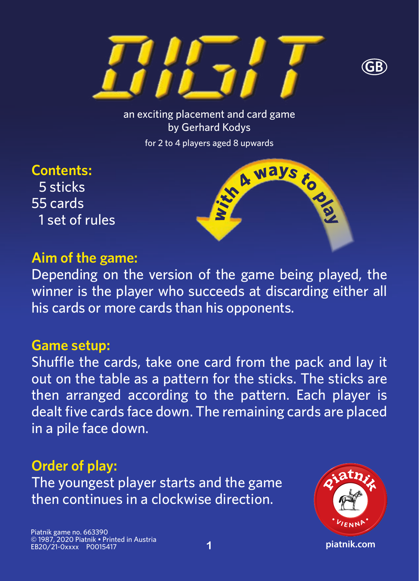



an exciting placement and card game by Gerhard Kodys for 2 to 4 players aged 8 upwards

A ways

toppe

**Contents:** 5 sticks 55 cards 1 set of rules

#### **Aim of the game:**

Depending on the version of the game being played, the winner is the player who succeeds at discarding either all his cards or more cards than his opponents.

#### **Game setup:**

Shuffle the cards, take one card from the pack and lay it out on the table as a pattern for the sticks. The sticks are then arranged according to the pattern. Each player is dealt five cards face down. The remaining cards are placed in a pile face down.

#### **Order of play:**

The youngest player starts and the game then continues in a clockwise direction.

Piatnik game no. 663390 © 1987, 2020 Piatnik • Printed in Austria EB20/21-0xxxx P0015417

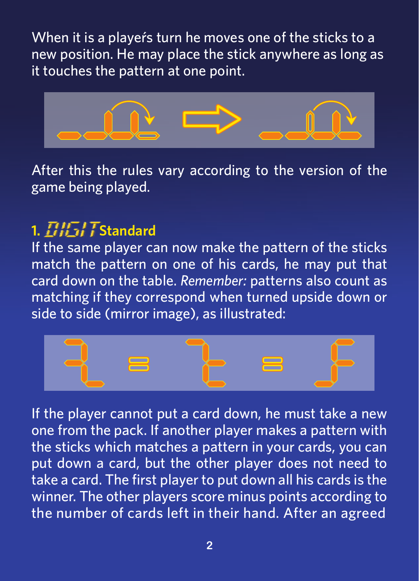When it is a player's turn he moves one of the sticks to a new position. He may place the stick anywhere as long as it touches the pattern at one point.



After this the rules vary according to the version of the game being played.

### **1. Standard**

If the same player can now make the pattern of the sticks match the pattern on one of his cards, he may put that card down on the table. *Remember:* patterns also count as matching if they correspond when turned upside down or side to side (mirror image), as illustrated:



If the player cannot put a card down, he must take a new one from the pack. If another player makes a pattern with the sticks which matches a pattern in your cards, you can put down a card, but the other player does not need to take a card. The first player to put down all his cards is the winner. The other players score minus points according to the number of cards left in their hand. After an agreed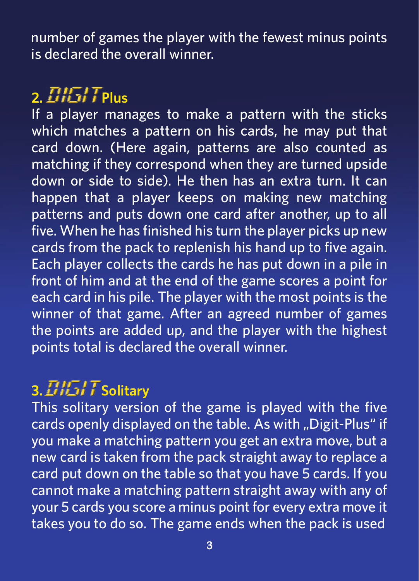number of games the player with the fewest minus points is declared the overall winner.

# **2. Plus**

If a player manages to make a pattern with the sticks which matches a pattern on his cards, he may put that card down. (Here again, patterns are also counted as matching if they correspond when they are turned upside down or side to side). He then has an extra turn. It can happen that a player keeps on making new matching patterns and puts down one card after another, up to all five. When he has finished his turn the player picks up new cards from the pack to replenish his hand up to five again. Each player collects the cards he has put down in a pile in front of him and at the end of the game scores a point for each card in his pile. The player with the most points is the winner of that game. After an agreed number of games the points are added up, and the player with the highest points total is declared the overall winner.

## **3. Solitary**

This solitary version of the game is played with the five cards openly displayed on the table. As with "Digit-Plus" if you make a matching pattern you get an extra move, but a new card is taken from the pack straight away to replace a card put down on the table so that you have 5 cards. If you cannot make a matching pattern straight away with any of your 5 cards you score a minus point for every extra move it takes you to do so. The game ends when the pack is used